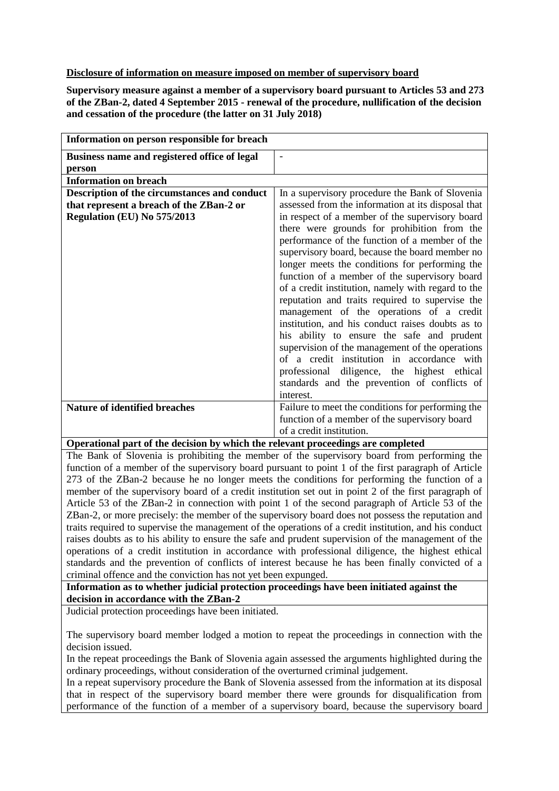## **Disclosure of information on measure imposed on member of supervisory board**

**Supervisory measure against a member of a supervisory board pursuant to Articles 53 and 273 of the ZBan-2, dated 4 September 2015 - renewal of the procedure, nullification of the decision and cessation of the procedure (the latter on 31 July 2018)**

| Information on person responsible for breach                                     |                                                    |
|----------------------------------------------------------------------------------|----------------------------------------------------|
| Business name and registered office of legal                                     | $\overline{\phantom{a}}$                           |
| person                                                                           |                                                    |
| <b>Information on breach</b>                                                     |                                                    |
| Description of the circumstances and conduct                                     | In a supervisory procedure the Bank of Slovenia    |
| that represent a breach of the ZBan-2 or                                         | assessed from the information at its disposal that |
| Regulation (EU) No 575/2013                                                      | in respect of a member of the supervisory board    |
|                                                                                  | there were grounds for prohibition from the        |
|                                                                                  | performance of the function of a member of the     |
|                                                                                  | supervisory board, because the board member no     |
|                                                                                  | longer meets the conditions for performing the     |
|                                                                                  | function of a member of the supervisory board      |
|                                                                                  | of a credit institution, namely with regard to the |
|                                                                                  | reputation and traits required to supervise the    |
|                                                                                  | management of the operations of a credit           |
|                                                                                  | institution, and his conduct raises doubts as to   |
|                                                                                  | his ability to ensure the safe and prudent         |
|                                                                                  | supervision of the management of the operations    |
|                                                                                  | of a credit institution in accordance with         |
|                                                                                  | professional diligence, the highest ethical        |
|                                                                                  | standards and the prevention of conflicts of       |
|                                                                                  | interest.                                          |
| <b>Nature of identified breaches</b>                                             | Failure to meet the conditions for performing the  |
|                                                                                  | function of a member of the supervisory board      |
|                                                                                  | of a credit institution.                           |
| Operational part of the decision by which the relevant proceedings are completed |                                                    |

The Bank of Slovenia is prohibiting the member of the supervisory board from performing the function of a member of the supervisory board pursuant to point 1 of the first paragraph of Article 273 of the ZBan-2 because he no longer meets the conditions for performing the function of a member of the supervisory board of a credit institution set out in point 2 of the first paragraph of Article 53 of the ZBan-2 in connection with point 1 of the second paragraph of Article 53 of the ZBan-2, or more precisely: the member of the supervisory board does not possess the reputation and traits required to supervise the management of the operations of a credit institution, and his conduct raises doubts as to his ability to ensure the safe and prudent supervision of the management of the operations of a credit institution in accordance with professional diligence, the highest ethical standards and the prevention of conflicts of interest because he has been finally convicted of a criminal offence and the conviction has not yet been expunged.

## **Information as to whether judicial protection proceedings have been initiated against the decision in accordance with the ZBan-2**

Judicial protection proceedings have been initiated.

The supervisory board member lodged a motion to repeat the proceedings in connection with the decision issued.

In the repeat proceedings the Bank of Slovenia again assessed the arguments highlighted during the ordinary proceedings, without consideration of the overturned criminal judgement.

In a repeat supervisory procedure the Bank of Slovenia assessed from the information at its disposal that in respect of the supervisory board member there were grounds for disqualification from performance of the function of a member of a supervisory board, because the supervisory board